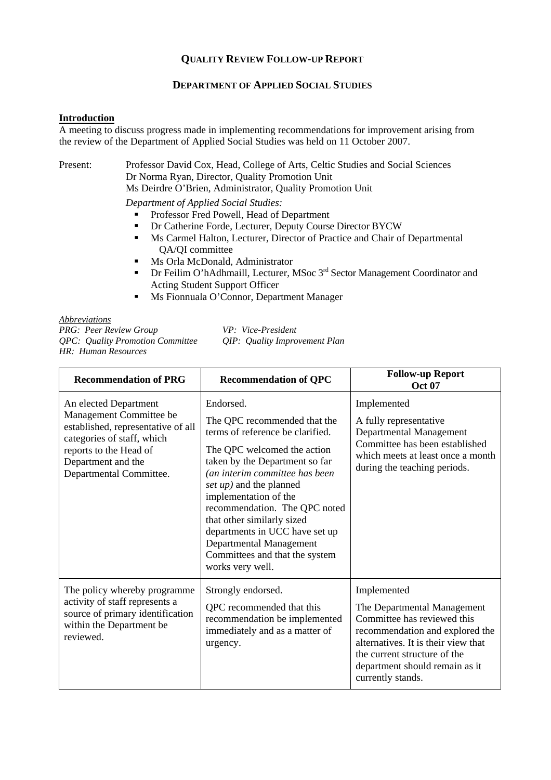## **QUALITY REVIEW FOLLOW-UP REPORT**

## **DEPARTMENT OF APPLIED SOCIAL STUDIES**

## **Introduction**

A meeting to discuss progress made in implementing recommendations for improvement arising from the review of the Department of Applied Social Studies was held on 11 October 2007.

Present: Professor David Cox, Head, College of Arts, Celtic Studies and Social Sciences Dr Norma Ryan, Director, Quality Promotion Unit Ms Deirdre O'Brien, Administrator, Quality Promotion Unit

*Department of Applied Social Studies:* 

- **Professor Fred Powell, Head of Department**
- **•** Dr Catherine Forde, Lecturer, Deputy Course Director BYCW
- Ms Carmel Halton, Lecturer, Director of Practice and Chair of Departmental QA/QI committee
- Ms Orla McDonald, Administrator
- **•** Dr Feilim O'hAdhmaill, Lecturer, MSoc 3<sup>rd</sup> Sector Management Coordinator and Acting Student Support Officer
- Ms Fionnuala O'Connor, Department Manager

*Abbreviations*

*PRG: Peer Review Group VP: Vice-President QPC: Quality Promotion Committee QIP: Quality Improvement Plan HR: Human Resources* 

| <b>Recommendation of PRG</b>                                                                                                                                                                    | <b>Recommendation of QPC</b>                                                                                                                                                                                                                                                                                                                                                                                           | <b>Follow-up Report</b><br><b>Oct 07</b>                                                                                                                                                                                                   |
|-------------------------------------------------------------------------------------------------------------------------------------------------------------------------------------------------|------------------------------------------------------------------------------------------------------------------------------------------------------------------------------------------------------------------------------------------------------------------------------------------------------------------------------------------------------------------------------------------------------------------------|--------------------------------------------------------------------------------------------------------------------------------------------------------------------------------------------------------------------------------------------|
| An elected Department<br>Management Committee be<br>established, representative of all<br>categories of staff, which<br>reports to the Head of<br>Department and the<br>Departmental Committee. | Endorsed.<br>The QPC recommended that the<br>terms of reference be clarified.<br>The QPC welcomed the action<br>taken by the Department so far<br>(an interim committee has been<br>set up) and the planned<br>implementation of the<br>recommendation. The QPC noted<br>that other similarly sized<br>departments in UCC have set up<br>Departmental Management<br>Committees and that the system<br>works very well. | Implemented<br>A fully representative<br>Departmental Management<br>Committee has been established<br>which meets at least once a month<br>during the teaching periods.                                                                    |
| The policy whereby programme<br>activity of staff represents a<br>source of primary identification<br>within the Department be<br>reviewed.                                                     | Strongly endorsed.<br>QPC recommended that this<br>recommendation be implemented<br>immediately and as a matter of<br>urgency.                                                                                                                                                                                                                                                                                         | Implemented<br>The Departmental Management<br>Committee has reviewed this<br>recommendation and explored the<br>alternatives. It is their view that<br>the current structure of the<br>department should remain as it<br>currently stands. |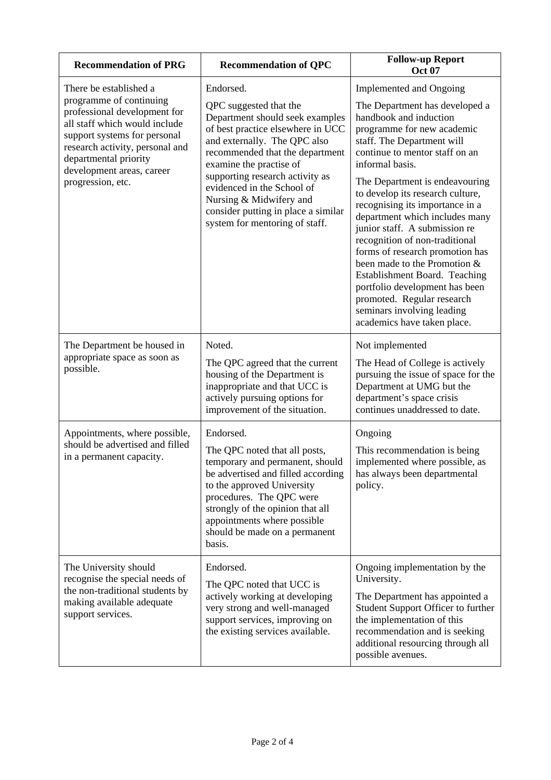| <b>Recommendation of PRG</b>                                                                                                                                                                                                                                     | <b>Recommendation of QPC</b>                                                                                                                                                                                                                                                                                                                                                   | <b>Follow-up Report</b><br><b>Oct 07</b>                                                                                                                                                                                                                                                                                                                                                                                                                                                                                                                                                                                                                   |
|------------------------------------------------------------------------------------------------------------------------------------------------------------------------------------------------------------------------------------------------------------------|--------------------------------------------------------------------------------------------------------------------------------------------------------------------------------------------------------------------------------------------------------------------------------------------------------------------------------------------------------------------------------|------------------------------------------------------------------------------------------------------------------------------------------------------------------------------------------------------------------------------------------------------------------------------------------------------------------------------------------------------------------------------------------------------------------------------------------------------------------------------------------------------------------------------------------------------------------------------------------------------------------------------------------------------------|
| There be established a<br>programme of continuing<br>professional development for<br>all staff which would include<br>support systems for personal<br>research activity, personal and<br>departmental priority<br>development areas, career<br>progression, etc. | Endorsed.<br>QPC suggested that the<br>Department should seek examples<br>of best practice elsewhere in UCC<br>and externally. The QPC also<br>recommended that the department<br>examine the practise of<br>supporting research activity as<br>evidenced in the School of<br>Nursing & Midwifery and<br>consider putting in place a similar<br>system for mentoring of staff. | <b>Implemented and Ongoing</b><br>The Department has developed a<br>handbook and induction<br>programme for new academic<br>staff. The Department will<br>continue to mentor staff on an<br>informal basis.<br>The Department is endeavouring<br>to develop its research culture,<br>recognising its importance in a<br>department which includes many<br>junior staff. A submission re<br>recognition of non-traditional<br>forms of research promotion has<br>been made to the Promotion &<br>Establishment Board. Teaching<br>portfolio development has been<br>promoted. Regular research<br>seminars involving leading<br>academics have taken place. |
| The Department be housed in<br>appropriate space as soon as<br>possible.                                                                                                                                                                                         | Noted.<br>The QPC agreed that the current<br>housing of the Department is<br>inappropriate and that UCC is<br>actively pursuing options for<br>improvement of the situation.                                                                                                                                                                                                   | Not implemented<br>The Head of College is actively<br>pursuing the issue of space for the<br>Department at UMG but the<br>department's space crisis<br>continues unaddressed to date.                                                                                                                                                                                                                                                                                                                                                                                                                                                                      |
| Appointments, where possible,<br>should be advertised and filled<br>in a permanent capacity.                                                                                                                                                                     | Endorsed.<br>The QPC noted that all posts,<br>temporary and permanent, should<br>be advertised and filled according<br>to the approved University<br>procedures. The QPC were<br>strongly of the opinion that all<br>appointments where possible<br>should be made on a permanent<br>basis.                                                                                    | Ongoing<br>This recommendation is being<br>implemented where possible, as<br>has always been departmental<br>policy.                                                                                                                                                                                                                                                                                                                                                                                                                                                                                                                                       |
| The University should<br>recognise the special needs of<br>the non-traditional students by<br>making available adequate<br>support services.                                                                                                                     | Endorsed.<br>The QPC noted that UCC is<br>actively working at developing<br>very strong and well-managed<br>support services, improving on<br>the existing services available.                                                                                                                                                                                                 | Ongoing implementation by the<br>University.<br>The Department has appointed a<br>Student Support Officer to further<br>the implementation of this<br>recommendation and is seeking<br>additional resourcing through all<br>possible avenues.                                                                                                                                                                                                                                                                                                                                                                                                              |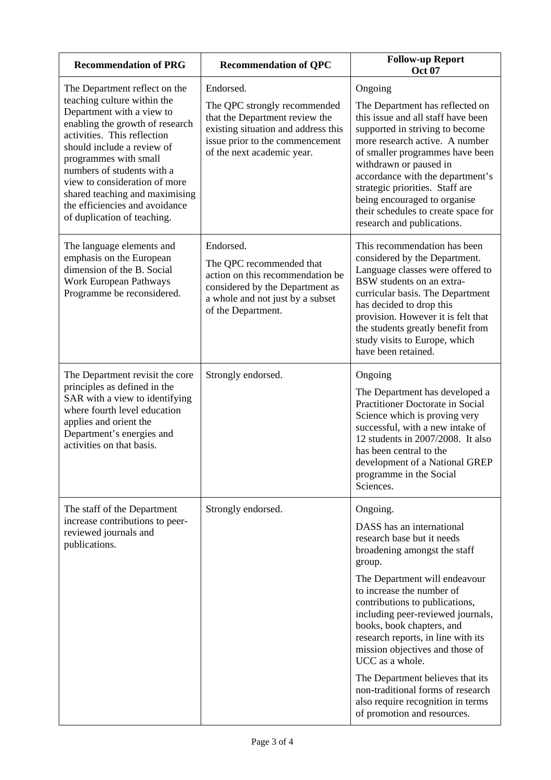| <b>Recommendation of PRG</b>                                                                                                                                                                                                                                                                                                                                                         | <b>Recommendation of QPC</b>                                                                                                                                                        | <b>Follow-up Report</b><br><b>Oct 07</b>                                                                                                                                                                                                                                                                                                                                                                                                                                                                                 |
|--------------------------------------------------------------------------------------------------------------------------------------------------------------------------------------------------------------------------------------------------------------------------------------------------------------------------------------------------------------------------------------|-------------------------------------------------------------------------------------------------------------------------------------------------------------------------------------|--------------------------------------------------------------------------------------------------------------------------------------------------------------------------------------------------------------------------------------------------------------------------------------------------------------------------------------------------------------------------------------------------------------------------------------------------------------------------------------------------------------------------|
| The Department reflect on the<br>teaching culture within the<br>Department with a view to<br>enabling the growth of research<br>activities. This reflection<br>should include a review of<br>programmes with small<br>numbers of students with a<br>view to consideration of more<br>shared teaching and maximising<br>the efficiencies and avoidance<br>of duplication of teaching. | Endorsed.<br>The QPC strongly recommended<br>that the Department review the<br>existing situation and address this<br>issue prior to the commencement<br>of the next academic year. | Ongoing<br>The Department has reflected on<br>this issue and all staff have been<br>supported in striving to become<br>more research active. A number<br>of smaller programmes have been<br>withdrawn or paused in<br>accordance with the department's<br>strategic priorities. Staff are<br>being encouraged to organise<br>their schedules to create space for<br>research and publications.                                                                                                                           |
| The language elements and<br>emphasis on the European<br>dimension of the B. Social<br>Work European Pathways<br>Programme be reconsidered.                                                                                                                                                                                                                                          | Endorsed.<br>The QPC recommended that<br>action on this recommendation be<br>considered by the Department as<br>a whole and not just by a subset<br>of the Department.              | This recommendation has been<br>considered by the Department.<br>Language classes were offered to<br>BSW students on an extra-<br>curricular basis. The Department<br>has decided to drop this<br>provision. However it is felt that<br>the students greatly benefit from<br>study visits to Europe, which<br>have been retained.                                                                                                                                                                                        |
| The Department revisit the core<br>principles as defined in the<br>SAR with a view to identifying<br>where fourth level education<br>applies and orient the<br>Department's energies and<br>activities on that basis.                                                                                                                                                                | Strongly endorsed.                                                                                                                                                                  | Ongoing<br>The Department has developed a<br>Practitioner Doctorate in Social<br>Science which is proving very<br>successful, with a new intake of<br>12 students in 2007/2008. It also<br>has been central to the<br>development of a National GREP<br>programme in the Social<br>Sciences.                                                                                                                                                                                                                             |
| The staff of the Department<br>increase contributions to peer-<br>reviewed journals and<br>publications.                                                                                                                                                                                                                                                                             | Strongly endorsed.                                                                                                                                                                  | Ongoing.<br>DASS has an international<br>research base but it needs<br>broadening amongst the staff<br>group.<br>The Department will endeavour<br>to increase the number of<br>contributions to publications,<br>including peer-reviewed journals,<br>books, book chapters, and<br>research reports, in line with its<br>mission objectives and those of<br>UCC as a whole.<br>The Department believes that its<br>non-traditional forms of research<br>also require recognition in terms<br>of promotion and resources. |